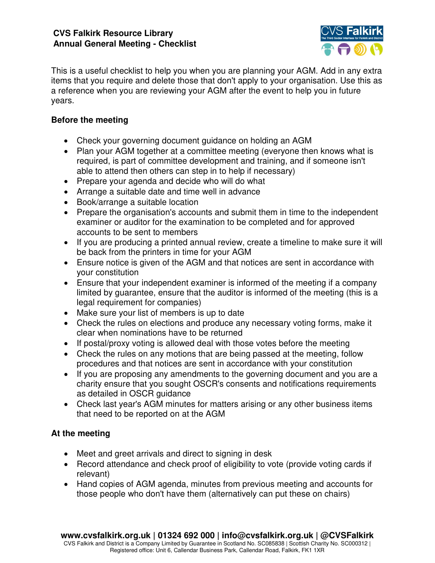#### **CVS Falkirk Resource Library Annual General Meeting - Checklist**



This is a useful checklist to help you when you are planning your AGM. Add in any extra items that you require and delete those that don't apply to your organisation. Use this as a reference when you are reviewing your AGM after the event to help you in future years.

### **Before the meeting**

- Check your governing document guidance on holding an AGM
- Plan your AGM together at a committee meeting (everyone then knows what is required, is part of committee development and training, and if someone isn't able to attend then others can step in to help if necessary)
- Prepare your agenda and decide who will do what
- Arrange a suitable date and time well in advance
- Book/arrange a suitable location
- Prepare the organisation's accounts and submit them in time to the independent examiner or auditor for the examination to be completed and for approved accounts to be sent to members
- If you are producing a printed annual review, create a timeline to make sure it will be back from the printers in time for your AGM
- Ensure notice is given of the AGM and that notices are sent in accordance with your constitution
- Ensure that your independent examiner is informed of the meeting if a company limited by guarantee, ensure that the auditor is informed of the meeting (this is a legal requirement for companies)
- Make sure your list of members is up to date
- Check the rules on elections and produce any necessary voting forms, make it clear when nominations have to be returned
- If postal/proxy voting is allowed deal with those votes before the meeting
- Check the rules on any motions that are being passed at the meeting, follow procedures and that notices are sent in accordance with your constitution
- If you are proposing any amendments to the governing document and you are a charity ensure that you sought OSCR's consents and notifications requirements as detailed in OSCR guidance
- Check last year's AGM minutes for matters arising or any other business items that need to be reported on at the AGM

# **At the meeting**

- Meet and greet arrivals and direct to signing in desk
- Record attendance and check proof of eligibility to vote (provide voting cards if relevant)
- Hand copies of AGM agenda, minutes from previous meeting and accounts for those people who don't have them (alternatively can put these on chairs)